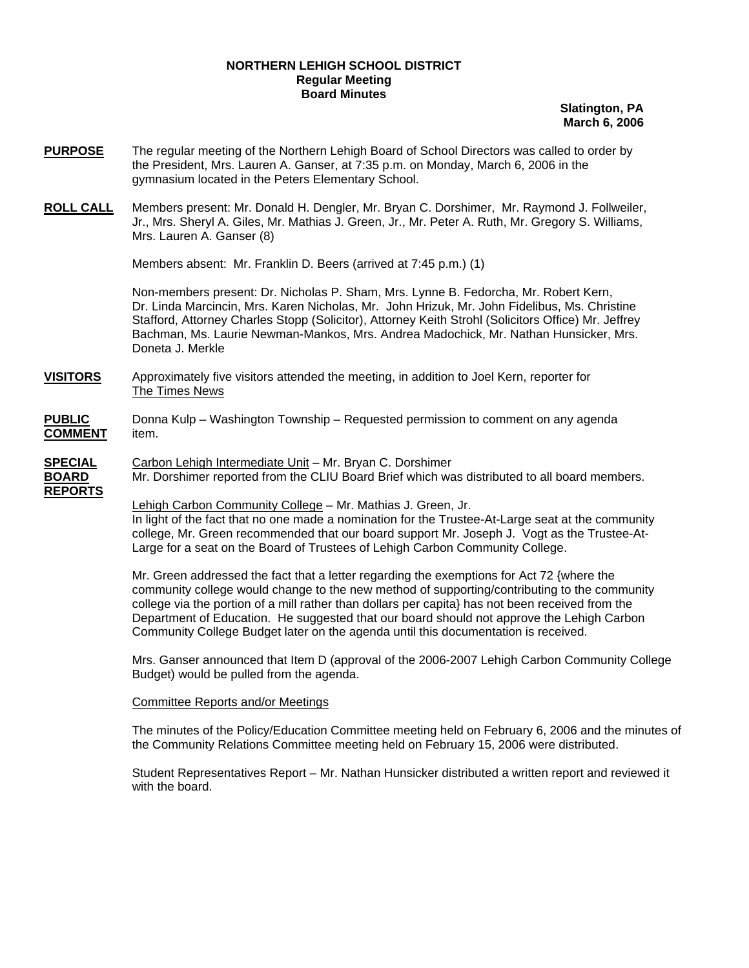## **NORTHERN LEHIGH SCHOOL DISTRICT Regular Meeting Board Minutes**

**Slatington, PA March 6, 2006**

- **PURPOSE** The regular meeting of the Northern Lehigh Board of School Directors was called to order by the President, Mrs. Lauren A. Ganser, at 7:35 p.m. on Monday, March 6, 2006 in the gymnasium located in the Peters Elementary School.
- **ROLL CALL** Members present: Mr. Donald H. Dengler, Mr. Bryan C. Dorshimer, Mr. Raymond J. Follweiler, Jr., Mrs. Sheryl A. Giles, Mr. Mathias J. Green, Jr., Mr. Peter A. Ruth, Mr. Gregory S. Williams, Mrs. Lauren A. Ganser (8)

Members absent: Mr. Franklin D. Beers (arrived at 7:45 p.m.) (1)

Non-members present: Dr. Nicholas P. Sham, Mrs. Lynne B. Fedorcha, Mr. Robert Kern, Dr. Linda Marcincin, Mrs. Karen Nicholas, Mr. John Hrizuk, Mr. John Fidelibus, Ms. Christine Stafford, Attorney Charles Stopp (Solicitor), Attorney Keith Strohl (Solicitors Office) Mr. Jeffrey Bachman, Ms. Laurie Newman-Mankos, Mrs. Andrea Madochick, Mr. Nathan Hunsicker, Mrs. Doneta J. Merkle

- **VISITORS** Approximately five visitors attended the meeting, in addition to Joel Kern, reporter for The Times News
- **PUBLIC** Donna Kulp Washington Township Requested permission to comment on any agenda **COMMENT** item.
- **SPECIAL** Carbon Lehigh Intermediate Unit Mr. Bryan C. Dorshimer **BOARD** Mr. Dorshimer reported from the CLIU Board Brief which was distributed to all board members. **REPORTS**

Lehigh Carbon Community College – Mr. Mathias J. Green, Jr. In light of the fact that no one made a nomination for the Trustee-At-Large seat at the community college, Mr. Green recommended that our board support Mr. Joseph J. Vogt as the Trustee-At-Large for a seat on the Board of Trustees of Lehigh Carbon Community College.

Mr. Green addressed the fact that a letter regarding the exemptions for Act 72 {where the community college would change to the new method of supporting/contributing to the community college via the portion of a mill rather than dollars per capita} has not been received from the Department of Education. He suggested that our board should not approve the Lehigh Carbon Community College Budget later on the agenda until this documentation is received.

Mrs. Ganser announced that Item D (approval of the 2006-2007 Lehigh Carbon Community College Budget) would be pulled from the agenda.

## Committee Reports and/or Meetings

The minutes of the Policy/Education Committee meeting held on February 6, 2006 and the minutes of the Community Relations Committee meeting held on February 15, 2006 were distributed.

Student Representatives Report – Mr. Nathan Hunsicker distributed a written report and reviewed it with the board.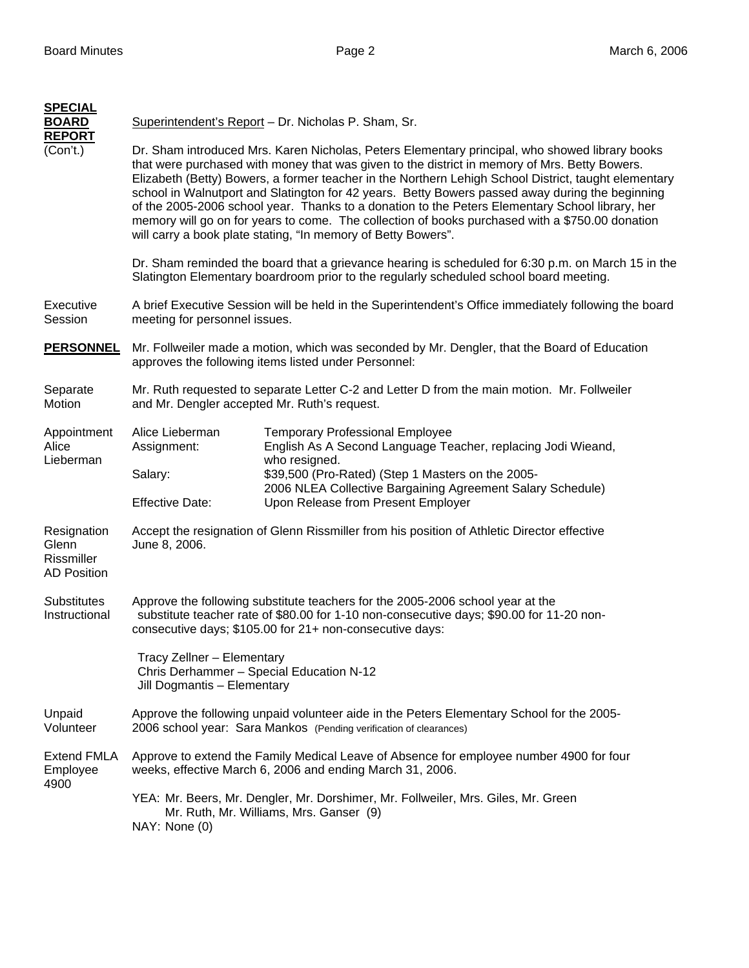| <b>SPECIAL</b><br><b>BOARD</b>                           |                                                                                                                                                                                                                                        | Superintendent's Report - Dr. Nicholas P. Sham, Sr.                                                                                                                                                                                                                                                                                                                                                                                                                                                                                                                                                                                                                               |  |
|----------------------------------------------------------|----------------------------------------------------------------------------------------------------------------------------------------------------------------------------------------------------------------------------------------|-----------------------------------------------------------------------------------------------------------------------------------------------------------------------------------------------------------------------------------------------------------------------------------------------------------------------------------------------------------------------------------------------------------------------------------------------------------------------------------------------------------------------------------------------------------------------------------------------------------------------------------------------------------------------------------|--|
| <b>REPORT</b><br>(Con't.)                                |                                                                                                                                                                                                                                        | Dr. Sham introduced Mrs. Karen Nicholas, Peters Elementary principal, who showed library books<br>that were purchased with money that was given to the district in memory of Mrs. Betty Bowers.<br>Elizabeth (Betty) Bowers, a former teacher in the Northern Lehigh School District, taught elementary<br>school in Walnutport and Slatington for 42 years. Betty Bowers passed away during the beginning<br>of the 2005-2006 school year. Thanks to a donation to the Peters Elementary School library, her<br>memory will go on for years to come. The collection of books purchased with a \$750.00 donation<br>will carry a book plate stating, "In memory of Betty Bowers". |  |
|                                                          | Dr. Sham reminded the board that a grievance hearing is scheduled for 6:30 p.m. on March 15 in the<br>Slatington Elementary boardroom prior to the regularly scheduled school board meeting.                                           |                                                                                                                                                                                                                                                                                                                                                                                                                                                                                                                                                                                                                                                                                   |  |
| Executive<br>Session                                     | A brief Executive Session will be held in the Superintendent's Office immediately following the board<br>meeting for personnel issues.                                                                                                 |                                                                                                                                                                                                                                                                                                                                                                                                                                                                                                                                                                                                                                                                                   |  |
| <b>PERSONNEL</b>                                         | Mr. Follweiler made a motion, which was seconded by Mr. Dengler, that the Board of Education<br>approves the following items listed under Personnel:                                                                                   |                                                                                                                                                                                                                                                                                                                                                                                                                                                                                                                                                                                                                                                                                   |  |
| Separate<br>Motion                                       | Mr. Ruth requested to separate Letter C-2 and Letter D from the main motion. Mr. Follweiler<br>and Mr. Dengler accepted Mr. Ruth's request.                                                                                            |                                                                                                                                                                                                                                                                                                                                                                                                                                                                                                                                                                                                                                                                                   |  |
| Appointment<br>Alice<br>Lieberman                        | Alice Lieberman<br>Assignment:                                                                                                                                                                                                         | <b>Temporary Professional Employee</b><br>English As A Second Language Teacher, replacing Jodi Wieand,<br>who resigned.                                                                                                                                                                                                                                                                                                                                                                                                                                                                                                                                                           |  |
|                                                          | Salary:<br><b>Effective Date:</b>                                                                                                                                                                                                      | \$39,500 (Pro-Rated) (Step 1 Masters on the 2005-<br>2006 NLEA Collective Bargaining Agreement Salary Schedule)<br>Upon Release from Present Employer                                                                                                                                                                                                                                                                                                                                                                                                                                                                                                                             |  |
| Resignation<br>Glenn<br>Rissmiller<br><b>AD Position</b> | Accept the resignation of Glenn Rissmiller from his position of Athletic Director effective<br>June 8, 2006.                                                                                                                           |                                                                                                                                                                                                                                                                                                                                                                                                                                                                                                                                                                                                                                                                                   |  |
| <b>Substitutes</b><br>Instructional                      | Approve the following substitute teachers for the 2005-2006 school year at the<br>substitute teacher rate of \$80.00 for 1-10 non-consecutive days; \$90.00 for 11-20 non-<br>consecutive days; \$105.00 for 21+ non-consecutive days: |                                                                                                                                                                                                                                                                                                                                                                                                                                                                                                                                                                                                                                                                                   |  |
|                                                          | Tracy Zellner - Elementary<br>Chris Derhammer - Special Education N-12<br>Jill Dogmantis - Elementary                                                                                                                                  |                                                                                                                                                                                                                                                                                                                                                                                                                                                                                                                                                                                                                                                                                   |  |
| Unpaid<br>Volunteer                                      | Approve the following unpaid volunteer aide in the Peters Elementary School for the 2005-<br>2006 school year: Sara Mankos (Pending verification of clearances)                                                                        |                                                                                                                                                                                                                                                                                                                                                                                                                                                                                                                                                                                                                                                                                   |  |
| <b>Extend FMLA</b><br>Employee<br>4900                   | Approve to extend the Family Medical Leave of Absence for employee number 4900 for four<br>weeks, effective March 6, 2006 and ending March 31, 2006.                                                                                   |                                                                                                                                                                                                                                                                                                                                                                                                                                                                                                                                                                                                                                                                                   |  |
|                                                          | YEA: Mr. Beers, Mr. Dengler, Mr. Dorshimer, Mr. Follweiler, Mrs. Giles, Mr. Green<br>Mr. Ruth, Mr. Williams, Mrs. Ganser (9)<br>NAY: None (0)                                                                                          |                                                                                                                                                                                                                                                                                                                                                                                                                                                                                                                                                                                                                                                                                   |  |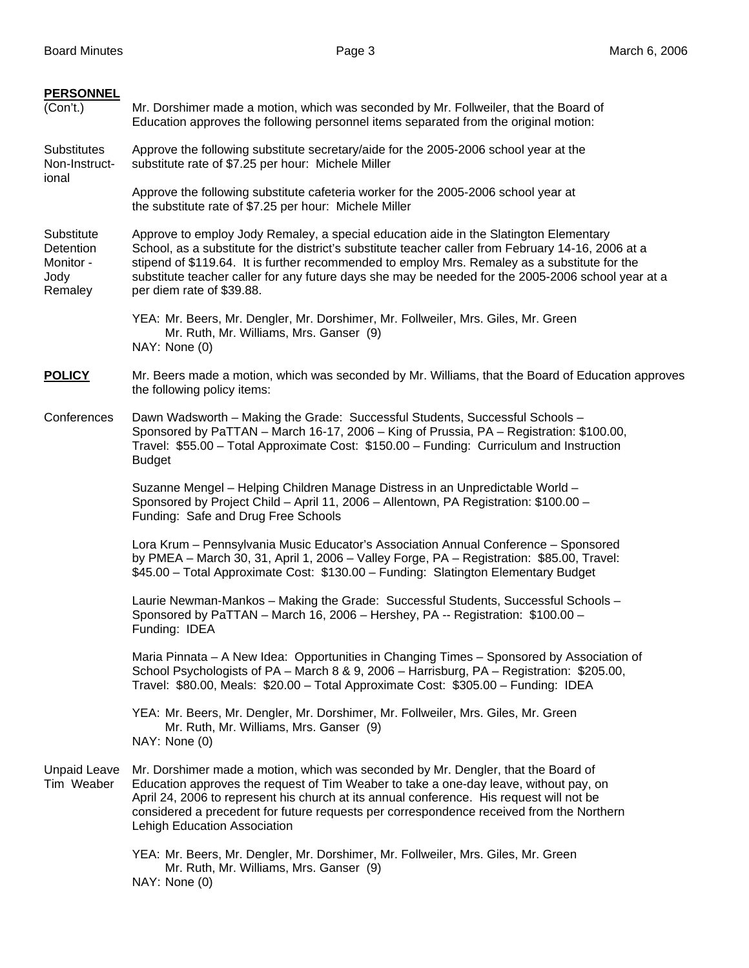| <b>PERSONNEL</b><br>(Con't.)                            | Mr. Dorshimer made a motion, which was seconded by Mr. Follweiler, that the Board of<br>Education approves the following personnel items separated from the original motion:                                                                                                                                                                                                                                                     |  |
|---------------------------------------------------------|----------------------------------------------------------------------------------------------------------------------------------------------------------------------------------------------------------------------------------------------------------------------------------------------------------------------------------------------------------------------------------------------------------------------------------|--|
| <b>Substitutes</b><br>Non-Instruct-<br>ional            | Approve the following substitute secretary/aide for the 2005-2006 school year at the<br>substitute rate of \$7.25 per hour: Michele Miller                                                                                                                                                                                                                                                                                       |  |
|                                                         | Approve the following substitute cafeteria worker for the 2005-2006 school year at<br>the substitute rate of \$7.25 per hour: Michele Miller                                                                                                                                                                                                                                                                                     |  |
| Substitute<br>Detention<br>Monitor -<br>Jody<br>Remaley | Approve to employ Jody Remaley, a special education aide in the Slatington Elementary<br>School, as a substitute for the district's substitute teacher caller from February 14-16, 2006 at a<br>stipend of \$119.64. It is further recommended to employ Mrs. Remaley as a substitute for the<br>substitute teacher caller for any future days she may be needed for the 2005-2006 school year at a<br>per diem rate of \$39.88. |  |
|                                                         | YEA: Mr. Beers, Mr. Dengler, Mr. Dorshimer, Mr. Follweiler, Mrs. Giles, Mr. Green<br>Mr. Ruth, Mr. Williams, Mrs. Ganser (9)<br>NAY: None (0)                                                                                                                                                                                                                                                                                    |  |
| <b>POLICY</b>                                           | Mr. Beers made a motion, which was seconded by Mr. Williams, that the Board of Education approves<br>the following policy items:                                                                                                                                                                                                                                                                                                 |  |
| Conferences                                             | Dawn Wadsworth - Making the Grade: Successful Students, Successful Schools -<br>Sponsored by PaTTAN - March 16-17, 2006 - King of Prussia, PA - Registration: \$100.00,<br>Travel: \$55.00 - Total Approximate Cost: \$150.00 - Funding: Curriculum and Instruction<br><b>Budget</b>                                                                                                                                             |  |
|                                                         | Suzanne Mengel - Helping Children Manage Distress in an Unpredictable World -<br>Sponsored by Project Child - April 11, 2006 - Allentown, PA Registration: \$100.00 -<br>Funding: Safe and Drug Free Schools                                                                                                                                                                                                                     |  |
|                                                         | Lora Krum - Pennsylvania Music Educator's Association Annual Conference - Sponsored<br>by PMEA - March 30, 31, April 1, 2006 - Valley Forge, PA - Registration: \$85.00, Travel:<br>\$45.00 - Total Approximate Cost: \$130.00 - Funding: Slatington Elementary Budget                                                                                                                                                           |  |
|                                                         | Laurie Newman-Mankos - Making the Grade: Successful Students, Successful Schools -<br>Sponsored by PaTTAN - March 16, 2006 - Hershey, PA -- Registration: \$100.00 -<br>Funding: IDEA                                                                                                                                                                                                                                            |  |
|                                                         | Maria Pinnata - A New Idea: Opportunities in Changing Times - Sponsored by Association of<br>School Psychologists of PA - March 8 & 9, 2006 - Harrisburg, PA - Registration: \$205.00,<br>Travel: \$80.00, Meals: \$20.00 - Total Approximate Cost: \$305.00 - Funding: IDEA                                                                                                                                                     |  |
|                                                         | YEA: Mr. Beers, Mr. Dengler, Mr. Dorshimer, Mr. Follweiler, Mrs. Giles, Mr. Green<br>Mr. Ruth, Mr. Williams, Mrs. Ganser (9)<br>NAY: None (0)                                                                                                                                                                                                                                                                                    |  |
| <b>Unpaid Leave</b><br>Tim Weaber                       | Mr. Dorshimer made a motion, which was seconded by Mr. Dengler, that the Board of<br>Education approves the request of Tim Weaber to take a one-day leave, without pay, on<br>April 24, 2006 to represent his church at its annual conference. His request will not be<br>considered a precedent for future requests per correspondence received from the Northern<br>Lehigh Education Association                               |  |
|                                                         | YEA: Mr. Beers, Mr. Dengler, Mr. Dorshimer, Mr. Follweiler, Mrs. Giles, Mr. Green<br>Mr. Ruth, Mr. Williams, Mrs. Ganser (9)<br>NAY: None (0)                                                                                                                                                                                                                                                                                    |  |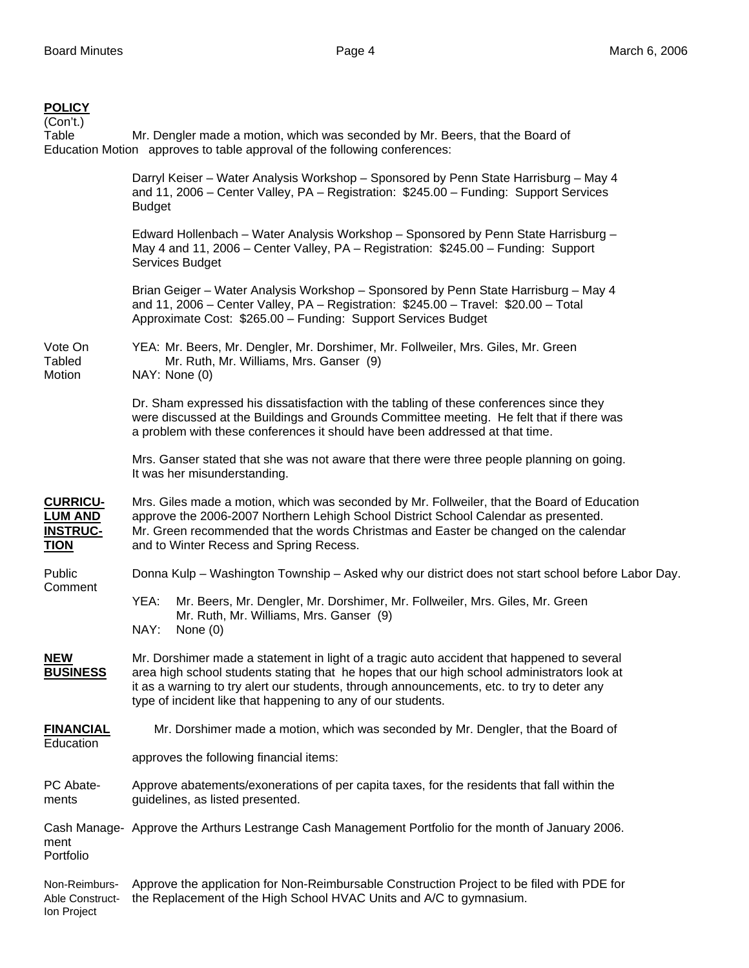## **POLICY**

| (Con't.)<br>Table                                                   | Mr. Dengler made a motion, which was seconded by Mr. Beers, that the Board of<br>Education Motion approves to table approval of the following conferences:                                                                                                                                                                                              |  |  |
|---------------------------------------------------------------------|---------------------------------------------------------------------------------------------------------------------------------------------------------------------------------------------------------------------------------------------------------------------------------------------------------------------------------------------------------|--|--|
|                                                                     | Darryl Keiser - Water Analysis Workshop - Sponsored by Penn State Harrisburg - May 4<br>and 11, 2006 – Center Valley, PA – Registration: \$245.00 – Funding: Support Services<br><b>Budget</b>                                                                                                                                                          |  |  |
|                                                                     | Edward Hollenbach - Water Analysis Workshop - Sponsored by Penn State Harrisburg -<br>May 4 and 11, 2006 – Center Valley, PA – Registration: \$245.00 – Funding: Support<br>Services Budget                                                                                                                                                             |  |  |
|                                                                     | Brian Geiger - Water Analysis Workshop - Sponsored by Penn State Harrisburg - May 4<br>and 11, 2006 - Center Valley, PA - Registration: \$245.00 - Travel: \$20.00 - Total<br>Approximate Cost: \$265.00 - Funding: Support Services Budget                                                                                                             |  |  |
| Vote On<br><b>Tabled</b><br>Motion                                  | YEA: Mr. Beers, Mr. Dengler, Mr. Dorshimer, Mr. Follweiler, Mrs. Giles, Mr. Green<br>Mr. Ruth, Mr. Williams, Mrs. Ganser (9)<br>NAY: None (0)                                                                                                                                                                                                           |  |  |
|                                                                     | Dr. Sham expressed his dissatisfaction with the tabling of these conferences since they<br>were discussed at the Buildings and Grounds Committee meeting. He felt that if there was<br>a problem with these conferences it should have been addressed at that time.                                                                                     |  |  |
|                                                                     | Mrs. Ganser stated that she was not aware that there were three people planning on going.<br>It was her misunderstanding.                                                                                                                                                                                                                               |  |  |
| <b>CURRICU-</b><br><b>LUM AND</b><br><b>INSTRUC-</b><br><b>TION</b> | Mrs. Giles made a motion, which was seconded by Mr. Follweiler, that the Board of Education<br>approve the 2006-2007 Northern Lehigh School District School Calendar as presented.<br>Mr. Green recommended that the words Christmas and Easter be changed on the calendar<br>and to Winter Recess and Spring Recess.                                   |  |  |
| Public<br>Comment                                                   | Donna Kulp – Washington Township – Asked why our district does not start school before Labor Day.                                                                                                                                                                                                                                                       |  |  |
|                                                                     | YEA:<br>Mr. Beers, Mr. Dengler, Mr. Dorshimer, Mr. Follweiler, Mrs. Giles, Mr. Green<br>Mr. Ruth, Mr. Williams, Mrs. Ganser (9)<br>NAY:<br>None $(0)$                                                                                                                                                                                                   |  |  |
| <b>NEW</b><br><b>BUSINESS</b>                                       | Mr. Dorshimer made a statement in light of a tragic auto accident that happened to several<br>area high school students stating that he hopes that our high school administrators look at<br>it as a warning to try alert our students, through announcements, etc. to try to deter any<br>type of incident like that happening to any of our students. |  |  |
| <b>FINANCIAL</b><br>Education                                       | Mr. Dorshimer made a motion, which was seconded by Mr. Dengler, that the Board of                                                                                                                                                                                                                                                                       |  |  |
|                                                                     | approves the following financial items:                                                                                                                                                                                                                                                                                                                 |  |  |
| PC Abate-<br>ments                                                  | Approve abatements/exonerations of per capita taxes, for the residents that fall within the<br>guidelines, as listed presented.                                                                                                                                                                                                                         |  |  |
| ment<br>Portfolio                                                   | Cash Manage- Approve the Arthurs Lestrange Cash Management Portfolio for the month of January 2006.                                                                                                                                                                                                                                                     |  |  |
| Non-Reimburs-                                                       | Approve the application for Non-Reimbursable Construction Project to be filed with PDE for                                                                                                                                                                                                                                                              |  |  |

Able Construct- the Replacement of the High School HVAC Units and A/C to gymnasium. Ion Project